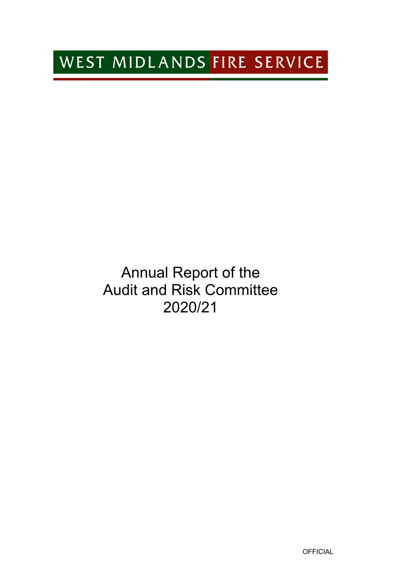# WEST MIDLANDS FIRE SERVICE

# Annual Report of the Audit and Risk Committee 2020/21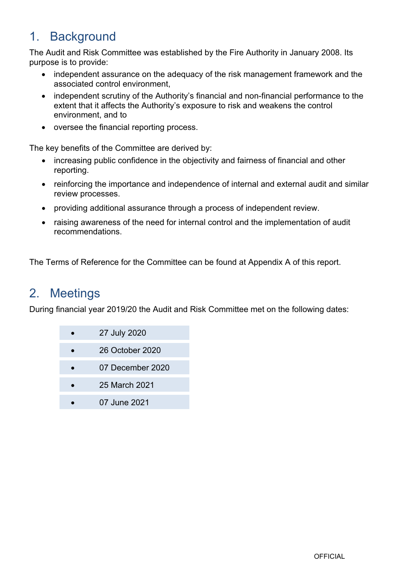# 1. Background

The Audit and Risk Committee was established by the Fire Authority in January 2008. Its purpose is to provide:

- independent assurance on the adequacy of the risk management framework and the associated control environment,
- $\bullet$  independent scrutiny of the Authority's financial and non-financial performance to the extent that it affects the Authority's exposure to risk and weakens the control environment, and to
- oversee the financial reporting process.

The key benefits of the Committee are derived by:

- increasing public confidence in the objectivity and fairness of financial and other reporting.
- reinforcing the importance and independence of internal and external audit and similar review processes.
- providing additional assurance through a process of independent review.
- raising awareness of the need for internal control and the implementation of audit recommendations.

The Terms of Reference for the Committee can be found at Appendix A of this report.

### 2. Meetings

During financial year 2019/20 the Audit and Risk Committee met on the following dates:

| 27 July 2020     |
|------------------|
| 26 October 2020  |
| 07 December 2020 |
| 25 March 2021    |
| 07 June 2021     |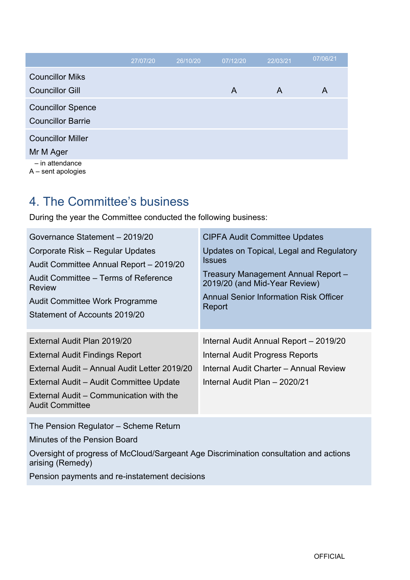|                          | 27/07/20 | 26/10/20 | 07/12/20 | 22/03/21     | 07/06/21 |
|--------------------------|----------|----------|----------|--------------|----------|
| <b>Councillor Miks</b>   |          |          |          |              |          |
| <b>Councillor Gill</b>   |          |          | A        | $\mathsf{A}$ | A        |
| <b>Councillor Spence</b> |          |          |          |              |          |
| <b>Councillor Barrie</b> |          |          |          |              |          |
| <b>Councillor Miller</b> |          |          |          |              |          |
| Mr M Ager                |          |          |          |              |          |
| - in attendance          |          |          |          |              |          |

A – sent apologies

### 4. The Committee's business

During the year the Committee conducted the following business:

| Governance Statement - 2019/20                                    | <b>CIPFA Audit Committee Updates</b>                                 |  |  |  |
|-------------------------------------------------------------------|----------------------------------------------------------------------|--|--|--|
| Corporate Risk – Regular Updates                                  | Updates on Topical, Legal and Regulatory                             |  |  |  |
| Audit Committee Annual Report - 2019/20                           | <b>Issues</b>                                                        |  |  |  |
| Audit Committee – Terms of Reference<br>Review                    | Treasury Management Annual Report -<br>2019/20 (and Mid-Year Review) |  |  |  |
| Audit Committee Work Programme                                    | Annual Senior Information Risk Officer<br>Report                     |  |  |  |
| Statement of Accounts 2019/20                                     |                                                                      |  |  |  |
|                                                                   |                                                                      |  |  |  |
| External Audit Plan 2019/20                                       | Internal Audit Annual Report - 2019/20                               |  |  |  |
| External Audit Findings Report                                    | Internal Audit Progress Reports                                      |  |  |  |
| External Audit - Annual Audit Letter 2019/20                      | Internal Audit Charter - Annual Review                               |  |  |  |
| External Audit – Audit Committee Update                           | Internal Audit Plan - 2020/21                                        |  |  |  |
| External Audit – Communication with the<br><b>Audit Committee</b> |                                                                      |  |  |  |

The Pension Regulator – Scheme Return

Minutes of the Pension Board

Oversight of progress of McCloud/Sargeant Age Discrimination consultation and actions arising (Remedy)

Pension payments and re-instatement decisions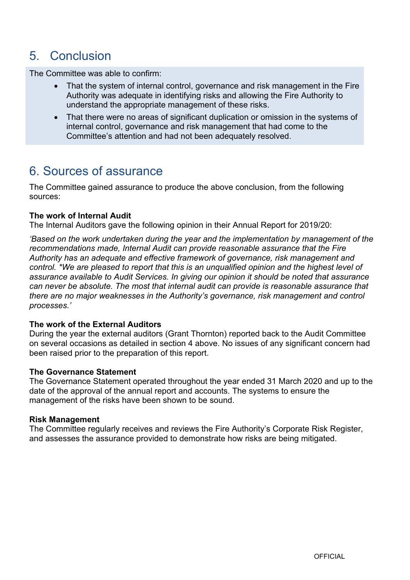### 5. Conclusion

The Committee was able to confirm:

- That the system of internal control, governance and risk management in the Fire Authority was adequate in identifying risks and allowing the Fire Authority to understand the appropriate management of these risks.
- That there were no areas of significant duplication or omission in the systems of internal control, governance and risk management that had come to the Committee's attention and had not been adequately resolved.

### 6. Sources of assurance

The Committee gained assurance to produce the above conclusion, from the following sources:

#### **The work of Internal Audit**

The Internal Auditors gave the following opinion in their Annual Report for 2019/20:

*'Based on the work undertaken during the year and the implementation by management of the recommendations made, Internal Audit can provide reasonable assurance that the Fire Authority has an adequate and effective framework of governance, risk management and control. \*We are pleased to report that this is an unqualified opinion and the highest level of assurance available to Audit Services. In giving our opinion it should be noted that assurance can never be absolute. The most that internal audit can provide is reasonable assurance that there are no major weaknesses in the Authority's governance, risk management and control processes.'*

#### **The work of the External Auditors**

During the year the external auditors (Grant Thornton) reported back to the Audit Committee on several occasions as detailed in section 4 above. No issues of any significant concern had been raised prior to the preparation of this report.

#### **The Governance Statement**

The Governance Statement operated throughout the year ended 31 March 2020 and up to the date of the approval of the annual report and accounts. The systems to ensure the management of the risks have been shown to be sound.

#### **Risk Management**

The Committee regularly receives and reviews the Fire Authority's Corporate Risk Register, and assesses the assurance provided to demonstrate how risks are being mitigated.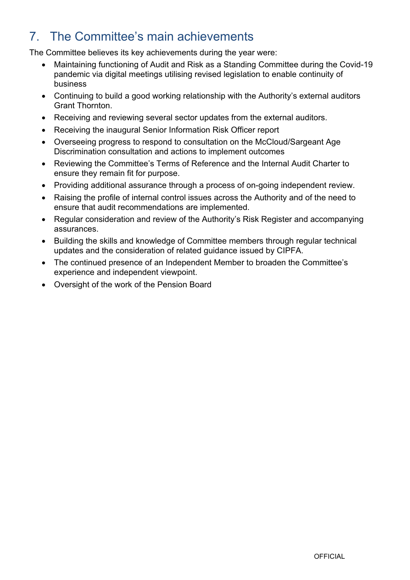# 7. The Committee's main achievements

The Committee believes its key achievements during the year were:

- Maintaining functioning of Audit and Risk as a Standing Committee during the Covid-19 pandemic via digital meetings utilising revised legislation to enable continuity of business
- Continuing to build a good working relationship with the Authority's external auditors Grant Thornton.
- Receiving and reviewing several sector updates from the external auditors.
- Receiving the inaugural Senior Information Risk Officer report
- Overseeing progress to respond to consultation on the McCloud/Sargeant Age Discrimination consultation and actions to implement outcomes
- Reviewing the Committee's Terms of Reference and the Internal Audit Charter to ensure they remain fit for purpose.
- Providing additional assurance through a process of on-going independent review.
- Raising the profile of internal control issues across the Authority and of the need to ensure that audit recommendations are implemented.
- Regular consideration and review of the Authority's Risk Register and accompanying assurances.
- Building the skills and knowledge of Committee members through regular technical updates and the consideration of related guidance issued by CIPFA.
- The continued presence of an Independent Member to broaden the Committee's experience and independent viewpoint.
- Oversight of the work of the Pension Board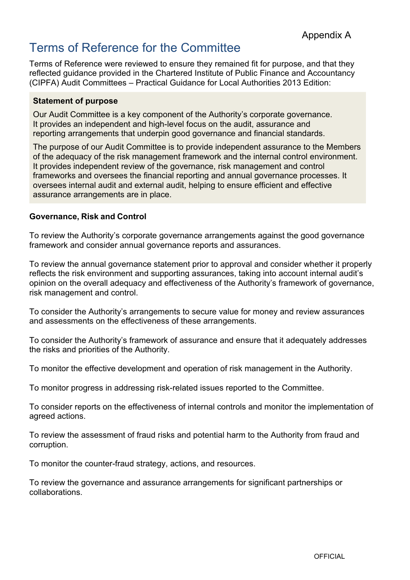## Terms of Reference for the Committee

Terms of Reference were reviewed to ensure they remained fit for purpose, and that they reflected guidance provided in the Chartered Institute of Public Finance and Accountancy (CIPFA) Audit Committees – Practical Guidance for Local Authorities 2013 Edition:

#### **Statement of purpose**

Our Audit Committee is a key component of the Authority's corporate governance. It provides an independent and high-level focus on the audit, assurance and reporting arrangements that underpin good governance and financial standards.

The purpose of our Audit Committee is to provide independent assurance to the Members of the adequacy of the risk management framework and the internal control environment. It provides independent review of the governance, risk management and control frameworks and oversees the financial reporting and annual governance processes. It oversees internal audit and external audit, helping to ensure efficient and effective assurance arrangements are in place.

#### **Governance, Risk and Control**

To review the Authority's corporate governance arrangements against the good governance framework and consider annual governance reports and assurances.

To review the annual governance statement prior to approval and consider whether it properly reflects the risk environment and supporting assurances, taking into account internal audit's opinion on the overall adequacy and effectiveness of the Authority's framework of governance, risk management and control.

To consider the Authority's arrangements to secure value for money and review assurances and assessments on the effectiveness of these arrangements.

To consider the Authority's framework of assurance and ensure that it adequately addresses the risks and priorities of the Authority.

To monitor the effective development and operation of risk management in the Authority.

To monitor progress in addressing risk-related issues reported to the Committee.

To consider reports on the effectiveness of internal controls and monitor the implementation of agreed actions.

To review the assessment of fraud risks and potential harm to the Authority from fraud and corruption.

To monitor the counter-fraud strategy, actions, and resources.

To review the governance and assurance arrangements for significant partnerships or collaborations.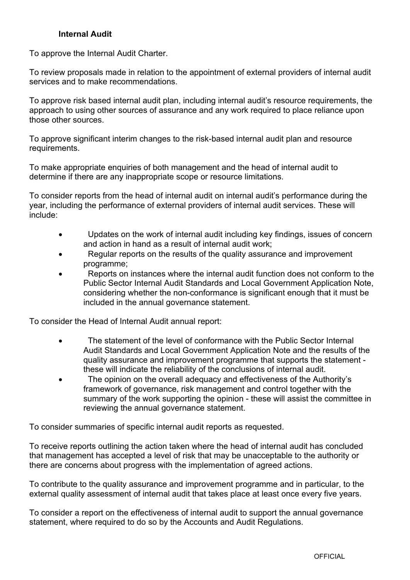#### **Internal Audit**

To approve the Internal Audit Charter.

To review proposals made in relation to the appointment of external providers of internal audit services and to make recommendations.

To approve risk based internal audit plan, including internal audit's resource requirements, the approach to using other sources of assurance and any work required to place reliance upon those other sources.

To approve significant interim changes to the risk-based internal audit plan and resource requirements.

To make appropriate enquiries of both management and the head of internal audit to determine if there are any inappropriate scope or resource limitations.

To consider reports from the head of internal audit on internal audit's performance during the year, including the performance of external providers of internal audit services. These will include:

- Updates on the work of internal audit including key findings, issues of concern and action in hand as a result of internal audit work;
- Regular reports on the results of the quality assurance and improvement programme;
- Reports on instances where the internal audit function does not conform to the Public Sector Internal Audit Standards and Local Government Application Note, considering whether the non-conformance is significant enough that it must be included in the annual governance statement.

To consider the Head of Internal Audit annual report:

- The statement of the level of conformance with the Public Sector Internal Audit Standards and Local Government Application Note and the results of the quality assurance and improvement programme that supports the statement these will indicate the reliability of the conclusions of internal audit.
- The opinion on the overall adequacy and effectiveness of the Authority's framework of governance, risk management and control together with the summary of the work supporting the opinion - these will assist the committee in reviewing the annual governance statement.

To consider summaries of specific internal audit reports as requested.

To receive reports outlining the action taken where the head of internal audit has concluded that management has accepted a level of risk that may be unacceptable to the authority or there are concerns about progress with the implementation of agreed actions.

To contribute to the quality assurance and improvement programme and in particular, to the external quality assessment of internal audit that takes place at least once every five years.

To consider a report on the effectiveness of internal audit to support the annual governance statement, where required to do so by the Accounts and Audit Regulations.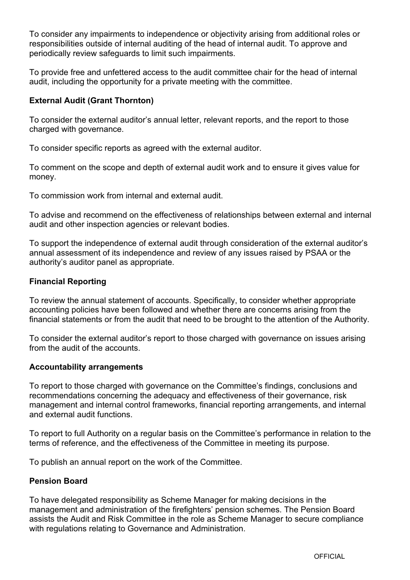To consider any impairments to independence or objectivity arising from additional roles or responsibilities outside of internal auditing of the head of internal audit. To approve and periodically review safeguards to limit such impairments.

To provide free and unfettered access to the audit committee chair for the head of internal audit, including the opportunity for a private meeting with the committee.

#### **External Audit (Grant Thornton)**

To consider the external auditor's annual letter, relevant reports, and the report to those charged with governance.

To consider specific reports as agreed with the external auditor.

To comment on the scope and depth of external audit work and to ensure it gives value for money.

To commission work from internal and external audit.

To advise and recommend on the effectiveness of relationships between external and internal audit and other inspection agencies or relevant bodies.

To support the independence of external audit through consideration of the external auditor's annual assessment of its independence and review of any issues raised by PSAA or the authority's auditor panel as appropriate.

#### **Financial Reporting**

To review the annual statement of accounts. Specifically, to consider whether appropriate accounting policies have been followed and whether there are concerns arising from the financial statements or from the audit that need to be brought to the attention of the Authority.

To consider the external auditor's report to those charged with governance on issues arising from the audit of the accounts.

#### **Accountability arrangements**

To report to those charged with governance on the Committee's findings, conclusions and recommendations concerning the adequacy and effectiveness of their governance, risk management and internal control frameworks, financial reporting arrangements, and internal and external audit functions.

To report to full Authority on a regular basis on the Committee's performance in relation to the terms of reference, and the effectiveness of the Committee in meeting its purpose.

To publish an annual report on the work of the Committee.

#### **Pension Board**

To have delegated responsibility as Scheme Manager for making decisions in the management and administration of the firefighters' pension schemes. The Pension Board assists the Audit and Risk Committee in the role as Scheme Manager to secure compliance with regulations relating to Governance and Administration.